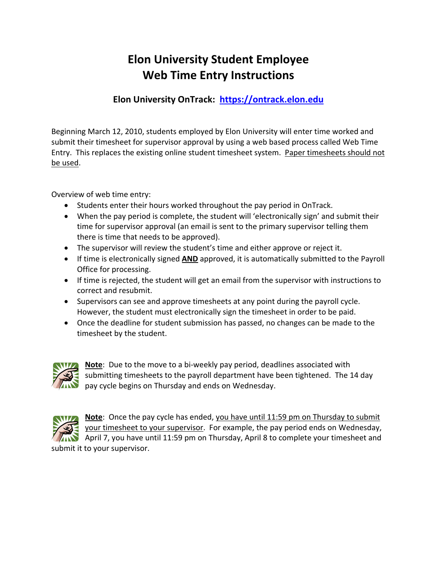## **Elon University Student Employee Web Time Entry Instructions**

### **Elon University OnTrack: https://ontrack.elon.edu**

Beginning March 12, 2010, students employed by Elon University will enter time worked and submit their timesheet for supervisor approval by using a web based process called Web Time Entry. This replaces the existing online student timesheet system. Paper timesheets should not be used.

Overview of web time entry:

- Students enter their hours worked throughout the pay period in OnTrack.
- When the pay period is complete, the student will 'electronically sign' and submit their time for supervisor approval (an email is sent to the primary supervisor telling them there is time that needs to be approved).
- The supervisor will review the student's time and either approve or reject it.
- If time is electronically signed **AND** approved, it is automatically submitted to the Payroll Office for processing.
- If time is rejected, the student will get an email from the supervisor with instructions to correct and resubmit.
- Supervisors can see and approve timesheets at any point during the payroll cycle. However, the student must electronically sign the timesheet in order to be paid.
- Once the deadline for student submission has passed, no changes can be made to the timesheet by the student.



**Note**: Due to the move to a bi‐weekly pay period, deadlines associated with submitting timesheets to the payroll department have been tightened. The 14 day pay cycle begins on Thursday and ends on Wednesday.



**Note**: Once the pay cycle has ended, you have until 11:59 pm on Thursday to submit your timesheet to your supervisor. For example, the pay period ends on Wednesday, April 7, you have until 11:59 pm on Thursday, April 8 to complete your timesheet and submit it to your supervisor.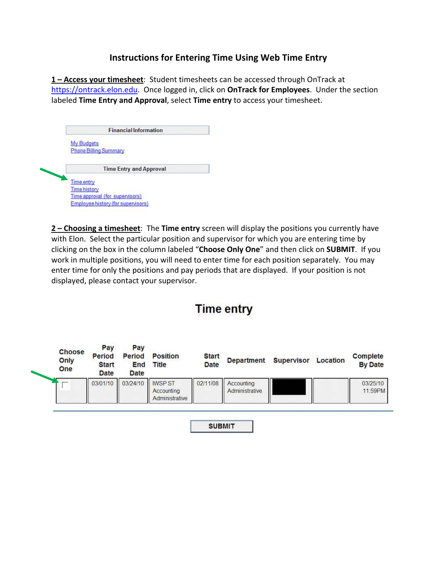### **Instructions for Entering Time Using Web Time Entry**

**1 – Access your timesheet**: Student timesheets can be accessed through OnTrack at https://ontrack.elon.edu. Once logged in, click on **OnTrack for Employees**. Under the section labeled **Time Entry and Approval**, select **Time entry** to access your timesheet.

|                                   | <b>Financial Information</b>    |
|-----------------------------------|---------------------------------|
| <b>My Budgets</b>                 |                                 |
|                                   | <b>Phone Billing Summary</b>    |
|                                   |                                 |
|                                   |                                 |
|                                   | <b>Time Entry and Approval</b>  |
|                                   |                                 |
|                                   |                                 |
| Time entry<br><b>Time history</b> | Time approval (for supervisors) |

**2 – Choosing a timesheet**: The **Time entry** screen will display the positions you currently have with Elon. Select the particular position and supervisor for which you are entering time by clicking on the box in the column labeled "**Choose Only One**" and then click on **SUBMIT**. If you work in multiple positions, you will need to enter time for each position separately. You may enter time for only the positions and pay periods that are displayed. If your position is not displayed, please contact your supervisor.

## **Time entry**

| Choose<br>Only<br><b>One</b> | Pay<br><b>Period</b><br><b>Start</b><br><b>Date</b> | Pay<br><b>Period</b><br>End<br>Date | <b>Position</b><br><b>Title</b> | <b>Start</b><br><b>Date</b> | <b>Department</b>            | <b>Supervisor</b> | Location | Complete<br><b>By Date</b> |
|------------------------------|-----------------------------------------------------|-------------------------------------|---------------------------------|-----------------------------|------------------------------|-------------------|----------|----------------------------|
|                              | 03/01/10                                            | 03/24/10   IWSP ST                  | Accounting<br>Administrative    | 02/11/08                    | Accounting<br>Administrative |                   |          | 03/25/10<br>11:59PM        |

**SUBMIT**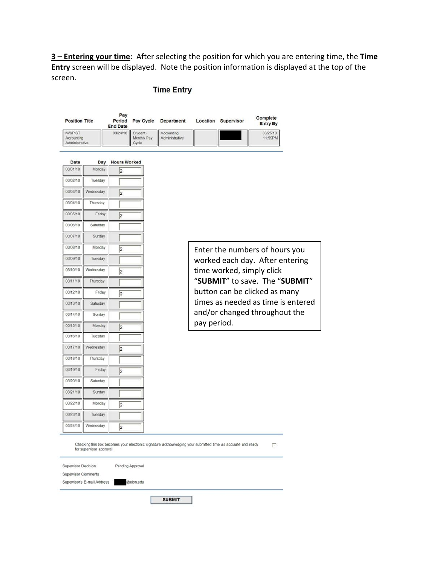**3 – Entering your time**: After selecting the position for which you are entering time, the **Time Entry** screen will be displayed. Note the position information is displayed at the top of the screen.

### **Time Entry**

| <b>Position Title</b>                          | Pay<br>Period<br><b>End Date</b> | Pay Cycle                                  | <b>Department</b>            | Location | <b>Supervisor</b> | Complete<br>Entry By |
|------------------------------------------------|----------------------------------|--------------------------------------------|------------------------------|----------|-------------------|----------------------|
| <b>IWSP ST</b><br>Accounting<br>Administrative |                                  | 03/24/10 Student -<br>Monthly Pay<br>Cycle | Accounting<br>Administrative |          |                   | 03/25/10<br>11:59PM  |

| Date     | Day       | lours Worked   |
|----------|-----------|----------------|
| 03/01/10 | Monday    | $\overline{2}$ |
| 03/02/10 | Tuesday   |                |
| 03/03/10 | Wednesday | $\overline{2}$ |
| 03/04/10 | Thursday  |                |
| 03/05/10 | Friday    | $\overline{2}$ |
| 03/06/10 | Saturday  |                |
| 03/07/10 | Sunday    |                |
| 03/08/10 | Monday    | 2              |
| 03/09/10 | Tuesday   |                |
| 03/10/10 | Wednesday | İ2             |
| 03/11/10 | Thursday  |                |
| 03/12/10 | Friday    | l2             |
| 03/13/10 | Saturday  |                |
| 03/14/10 | Sunday    |                |
| 03/15/10 | Monday    | $\overline{2}$ |
| 03/16/10 | Tuesday   |                |
| 03/17/10 | Wednesday | $\overline{c}$ |
| 03/18/10 | Thursday  |                |
| 03/19/10 | Friday    | l2             |
| 03/20/10 | Saturday  |                |
| 03/21/10 | Sunday    |                |
| 03/22/10 | Monday    | 2              |
| 03/23/10 | Tuesday   |                |
| 03/24/10 | Wednesday | 2              |

exact recommendations

**SERVICE** 

Enter the numbers of hours you worked each day. After entering time worked, simply click "**SUBMIT**" to save. The "**SUBMIT**" button can be clicked as many times as needed as time is entered and/or changed throughout the pay period.

Г

Checking this box becomes your electronic signature acknowledging your submitted time as accurate and ready for supervisor approval

Supervisor Decision Pending Approval Supervisor Comments Supervisor's E-mail Address @elon.edu

**SUBMIT**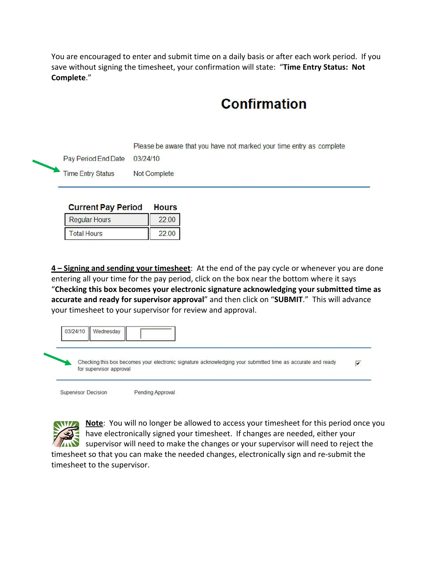You are encouraged to enter and submit time on a daily basis or after each work period. If you save without signing the timesheet, your confirmation will state: "**Time Entry Status: Not Complete**."

# **Confirmation**

Please be aware that you have not marked your time entry as complete

 $03/24/10$ Pay Period End Date

**Time Entry Status** Not Complete

#### **Current Pay Period Hours**

| <b>Regular Hours</b> |  |
|----------------------|--|
| <b>Total Hours</b>   |  |

**4 – Signing and sending your timesheet**: At the end of the pay cycle or whenever you are done entering all your time for the pay period, click on the box near the bottom where it says "**Checking this box becomes your electronic signature acknowledging your submitted time as accurate and ready for supervisor approval**" and then click on "**SUBMIT**." This will advance your timesheet to your supervisor for review and approval.

| Checking this box becomes your electronic signature acknowledging your submitted time as accurate and ready<br>for supervisor approval |  |
|----------------------------------------------------------------------------------------------------------------------------------------|--|

**Supervisor Decision** 

Pending Approval



**Note**: You will no longer be allowed to access your timesheet for this period once you have electronically signed your timesheet. If changes are needed, either your **THE SUPERVISOR WILL NEED TO MAKE A CONCRETE A** SUPERVISOR WILL need to reject the timesheet so that you can make the needed changes, electronically sign and re‐submit the

timesheet to the supervisor.